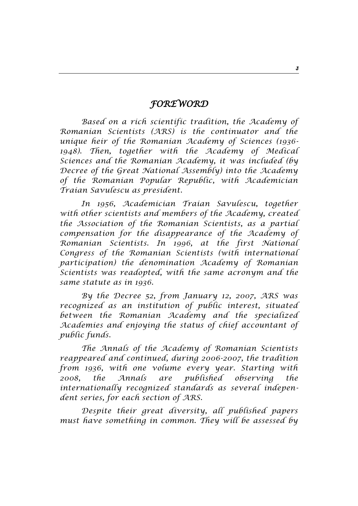## *FOREWORD*

*Based on a rich scientific tradition, the Academy of Romanian Scientists (ARS) is the continuator and the unique heir of the Romanian Academy of Sciences (1936- 1948). Then, together with the Academy of Medical Sciences and the Romanian Academy, it was included (by Decree of the Great National Assembly) into the Academy of the Romanian Popular Republic, with Academician Traian Savulescu as president.*

*In 1956, Academician Traian Savulescu, together with other scientists and members of the Academy, created the Association of the Romanian Scientists, as a partial compensation for the disappearance of the Academy of Romanian Scientists. In 1996, at the first National Congress of the Romanian Scientists (with international participation) the denomination Academy of Romanian Scientists was readopted, with the same acronym and the same statute as in 1936.*

*By the Decree 52, from January 12, 2007, ARS was recognized as an institution of public interest, situated between the Romanian Academy and the specialized Academies and enjoying the status of chief accountant of public funds.*

*The Annals of the Academy of Romanian Scientists reappeared and continued, during 2006-2007, the tradition from 1936, with one volume every year. Starting with 2008, the Annals are published observing the internationally recognized standards as several independent series, for each section of ARS.*

*Despite their great diversity, all published papers must have something in common. They will be assessed by*

*3*